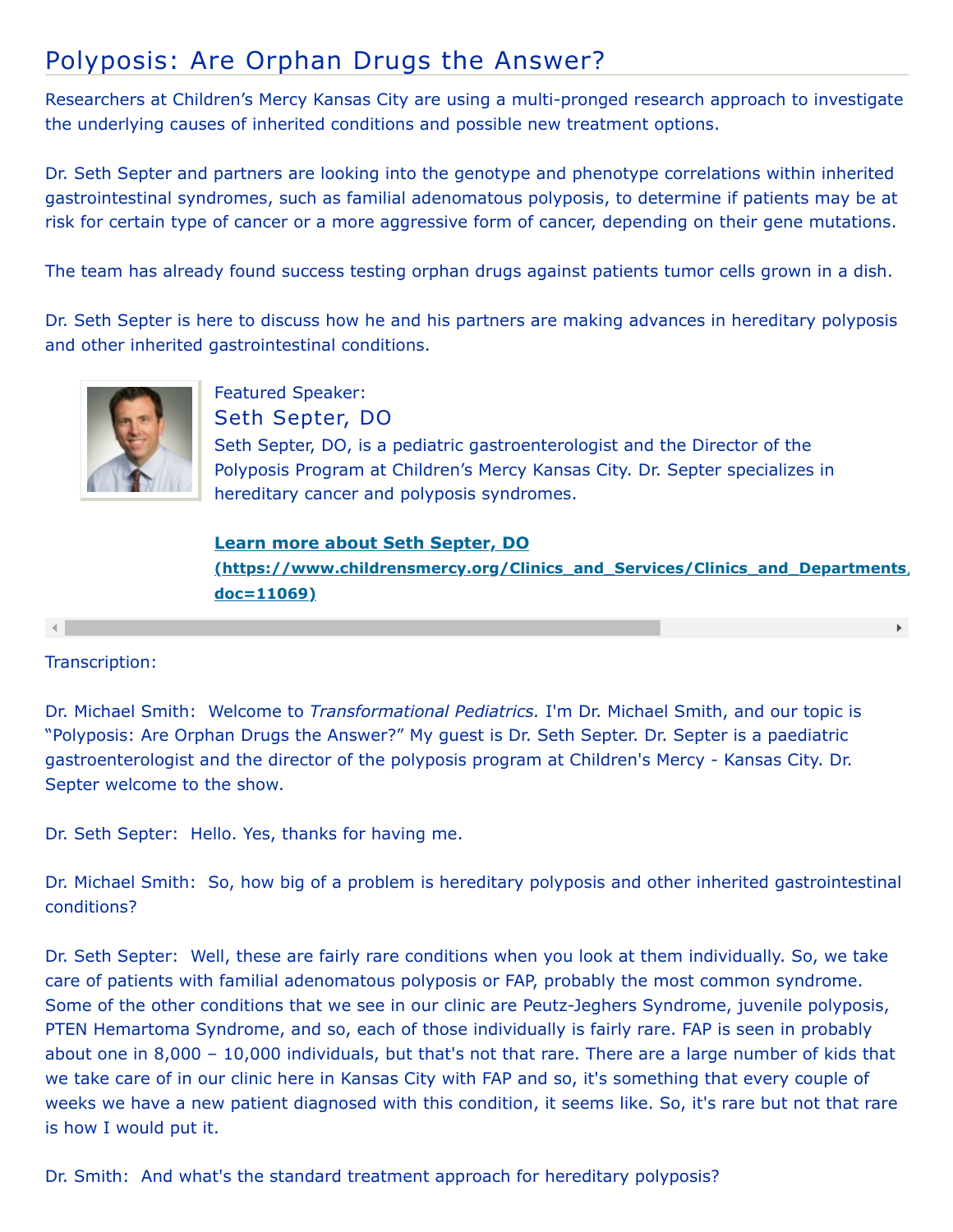## Polyposis: Are Orphan Drugs the Answer?

Researchers at Children's Mercy Kansas City are using a multi-pronged research approach to investigate the underlying causes of inherited conditions and possible new treatment options.

Dr. Seth Septer and partners are looking into the genotype and phenotype correlations within inherited gastrointestinal syndromes, such as familial adenomatous polyposis, to determine if patients may be at risk for certain type of cancer or a more aggressive form of cancer, depending on their gene mutations.

The team has already found success testing orphan drugs against patients tumor cells grown in a dish.

Dr. Seth Septer is here to discuss how he and his partners are making advances in hereditary polyposis and other inherited gastrointestinal conditions.



Featured Speaker: Seth Septer, DO Seth Septer, DO, is a pediatric gastroenterologist and the Director of the Polyposis Program at Children's Mercy Kansas City. Dr. Septer specializes in hereditary cancer and polyposis syndromes.

**Learn more about Seth Septer, DO [\(https://www.childrensmercy.org/Clinics\\_and\\_Services/Clinics\\_and\\_Departments/](https://www.childrensmercy.org/Clinics_and_Services/Clinics_and_Departments/Gastroenterology/Faculty_and_Staff/?doc=11069) doc=11069)**

Transcription:

Dr. Michael Smith: Welcome to *Transformational Pediatrics.* I'm Dr. Michael Smith, and our topic is "Polyposis: Are Orphan Drugs the Answer?" My guest is Dr. Seth Septer. Dr. Septer is a paediatric gastroenterologist and the director of the polyposis program at Children's Mercy - Kansas City. Dr. Septer welcome to the show.

Dr. Seth Septer: Hello. Yes, thanks for having me.

Dr. Michael Smith: So, how big of a problem is hereditary polyposis and other inherited gastrointestinal conditions?

Dr. Seth Septer: Well, these are fairly rare conditions when you look at them individually. So, we take care of patients with familial adenomatous polyposis or FAP, probably the most common syndrome. Some of the other conditions that we see in our clinic are Peutz-Jeghers Syndrome, juvenile polyposis, PTEN Hemartoma Syndrome, and so, each of those individually is fairly rare. FAP is seen in probably about one in 8,000 – 10,000 individuals, but that's not that rare. There are a large number of kids that we take care of in our clinic here in Kansas City with FAP and so, it's something that every couple of weeks we have a new patient diagnosed with this condition, it seems like. So, it's rare but not that rare is how I would put it.

Dr. Smith: And what's the standard treatment approach for hereditary polyposis?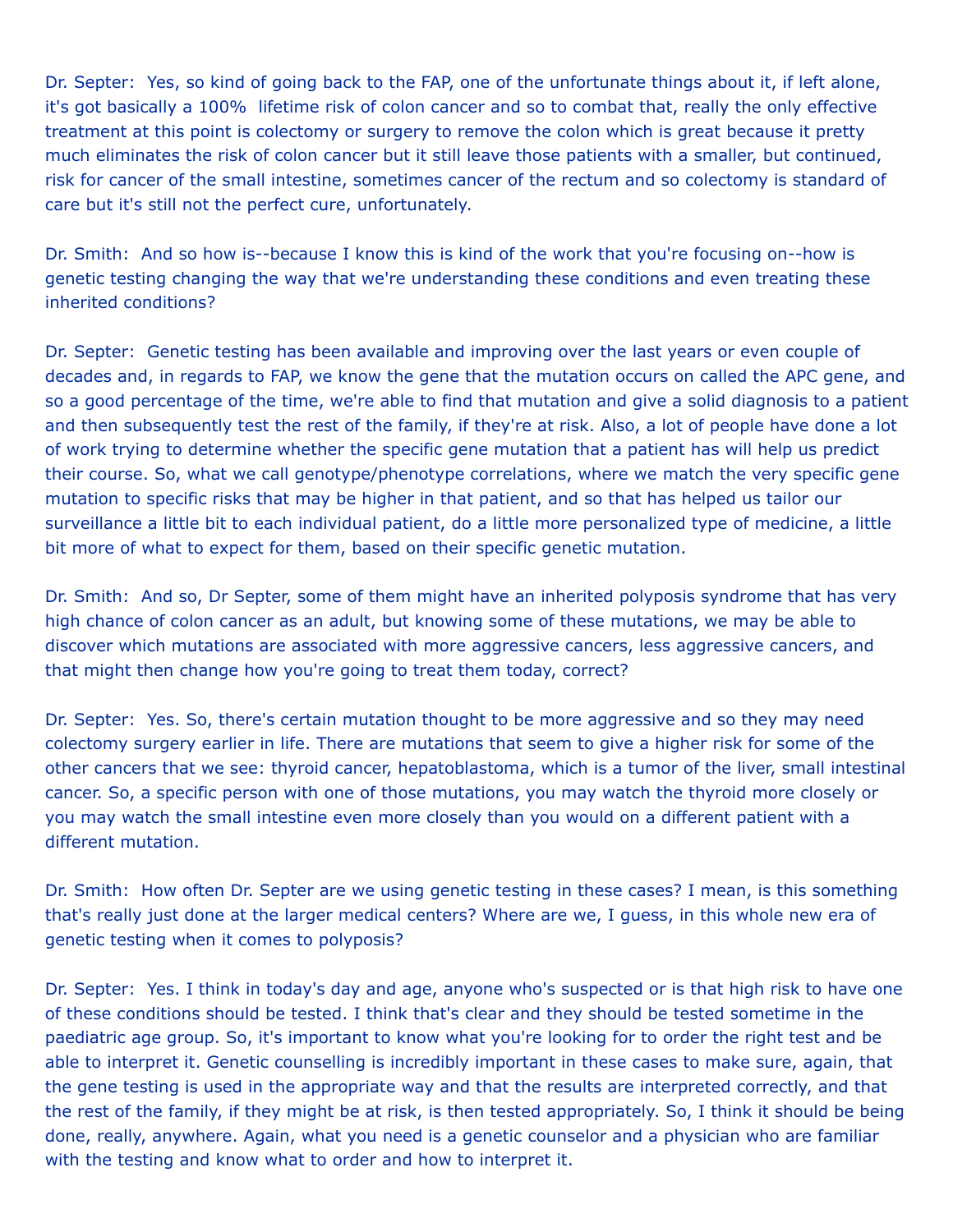Dr. Septer: Yes, so kind of going back to the FAP, one of the unfortunate things about it, if left alone, it's got basically a 100% lifetime risk of colon cancer and so to combat that, really the only effective treatment at this point is colectomy or surgery to remove the colon which is great because it pretty much eliminates the risk of colon cancer but it still leave those patients with a smaller, but continued, risk for cancer of the small intestine, sometimes cancer of the rectum and so colectomy is standard of care but it's still not the perfect cure, unfortunately.

Dr. Smith: And so how is--because I know this is kind of the work that you're focusing on--how is genetic testing changing the way that we're understanding these conditions and even treating these inherited conditions?

Dr. Septer: Genetic testing has been available and improving over the last years or even couple of decades and, in regards to FAP, we know the gene that the mutation occurs on called the APC gene, and so a good percentage of the time, we're able to find that mutation and give a solid diagnosis to a patient and then subsequently test the rest of the family, if they're at risk. Also, a lot of people have done a lot of work trying to determine whether the specific gene mutation that a patient has will help us predict their course. So, what we call genotype/phenotype correlations, where we match the very specific gene mutation to specific risks that may be higher in that patient, and so that has helped us tailor our surveillance a little bit to each individual patient, do a little more personalized type of medicine, a little bit more of what to expect for them, based on their specific genetic mutation.

Dr. Smith: And so, Dr Septer, some of them might have an inherited polyposis syndrome that has very high chance of colon cancer as an adult, but knowing some of these mutations, we may be able to discover which mutations are associated with more aggressive cancers, less aggressive cancers, and that might then change how you're going to treat them today, correct?

Dr. Septer: Yes. So, there's certain mutation thought to be more aggressive and so they may need colectomy surgery earlier in life. There are mutations that seem to give a higher risk for some of the other cancers that we see: thyroid cancer, hepatoblastoma, which is a tumor of the liver, small intestinal cancer. So, a specific person with one of those mutations, you may watch the thyroid more closely or you may watch the small intestine even more closely than you would on a different patient with a different mutation.

Dr. Smith: How often Dr. Septer are we using genetic testing in these cases? I mean, is this something that's really just done at the larger medical centers? Where are we, I guess, in this whole new era of genetic testing when it comes to polyposis?

Dr. Septer: Yes. I think in today's day and age, anyone who's suspected or is that high risk to have one of these conditions should be tested. I think that's clear and they should be tested sometime in the paediatric age group. So, it's important to know what you're looking for to order the right test and be able to interpret it. Genetic counselling is incredibly important in these cases to make sure, again, that the gene testing is used in the appropriate way and that the results are interpreted correctly, and that the rest of the family, if they might be at risk, is then tested appropriately. So, I think it should be being done, really, anywhere. Again, what you need is a genetic counselor and a physician who are familiar with the testing and know what to order and how to interpret it.